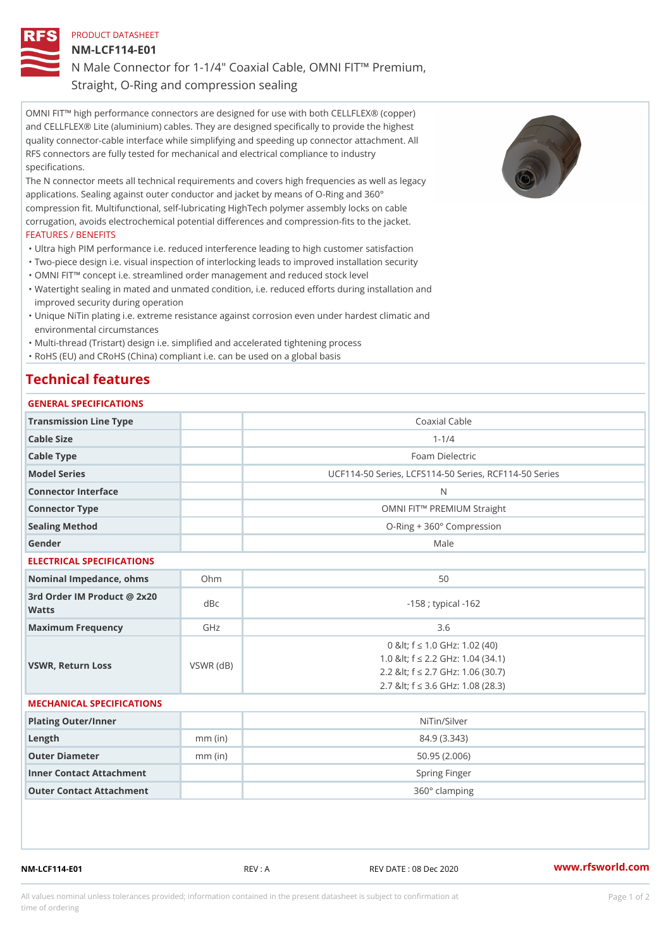PRODUCT DATASHEET

NM-LCF114-E01

N Male Connector for 1-1/4" Coaxial Cable, OMNI FIT!" Premium, Straight, O-Ring and compression sealing

OMNI FIT!" high performance connectors are designed for use with both CELLFLEX® (copper) and CELLFLEX® Lite (aluminium) cables. They are designed specifically to provide the highest quality connector-cable interface while simplifying and speeding up connector attachment. All RFS connectors are fully tested for mechanical and electrical compliance to industry specifications.

The N connector meets all technical requirements and covers high frequencies as well as legacy applications. Sealing against outer conductor and jacket by means of O-Ring and 360° compression fit. Multifunctional, self-lubricating HighTech polymer assembly locks on cable corrugation, avoids electrochemical potential differences and compression-fits to the jacket. FEATURES / BENEFITS

"Ultra high PIM performance i.e. reduced interference leading to high customer satisfaction

- "Two-piece design i.e. visual inspection of interlocking leads to improved installation security "OMNI FIT!" concept i.e. streamlined order management and reduced stock level
- Watertight sealing in mated and unmated condition, i.e. reduced efforts during installation and " improved security during operation
- Unique NiTin plating i.e. extreme resistance against corrosion even under hardest climatic and " environmental circumstances
- "Multi-thread (Tristart) design i.e. simplified and accelerated tightening process

"RoHS (EU) and CRoHS (China) compliant i.e. can be used on a global basis

## Technical features

## GENERAL SPECIFICATIONS

| Transmission Line Type                   |           | Coaxial Cable                                                                                                                                        |
|------------------------------------------|-----------|------------------------------------------------------------------------------------------------------------------------------------------------------|
| Cable Size                               |           | $1 - 1/4$                                                                                                                                            |
| Cable Type                               |           | Foam Dielectric                                                                                                                                      |
| Model Series                             |           | UCF114-50 Series, LCFS114-50 Series, RCF114-50 S                                                                                                     |
| Connector Interface                      |           | N                                                                                                                                                    |
| Connector Type                           |           | OMNI FIT!" PREMIUM Straight                                                                                                                          |
| Sealing Method                           |           | O-Ring + 360° Compression                                                                                                                            |
| Gender                                   |           | Male                                                                                                                                                 |
| ELECTRICAL SPECIFICATIONS                |           |                                                                                                                                                      |
| Nominal Impedance, ohins Ohm             |           | 50                                                                                                                                                   |
| 3rd Order IM Product @ 2x20 dBc<br>Watts |           | $-158$ ; typical $-162$                                                                                                                              |
| Maximum Frequency                        | GHz       | 3.6                                                                                                                                                  |
| VSWR, Return Loss                        | VSWR (dB) | 0 & It; f "d 1.0 GHz: 1.02 (40)<br>1.0 & It; f "d 2.2 GHz: 1.04 (34.1)<br>2.2 & It; f "d 2.7 GHz: 1.06 (30.7)<br>2.7 & It; f "d 3.6 GHz: 1.08 (28.3) |
| MECHANICAL SPECIFICATIONS                |           |                                                                                                                                                      |
| Plating Outer/Inner                      |           | NiTin/Silver                                                                                                                                         |
| Length                                   | $mm$ (in) | 84.9 (3.343)                                                                                                                                         |
| Outer Diameter                           | $mm$ (in) | 50.95(2.006)                                                                                                                                         |
| Inner Contact Attachment                 |           | Spring Finger                                                                                                                                        |
|                                          |           |                                                                                                                                                      |

Outer Contact Attachment 360° clamping

NM-LCF114-E01 REV : A REV DATE : 08 Dec 2020 [www.](https://www.rfsworld.com)rfsworld.com